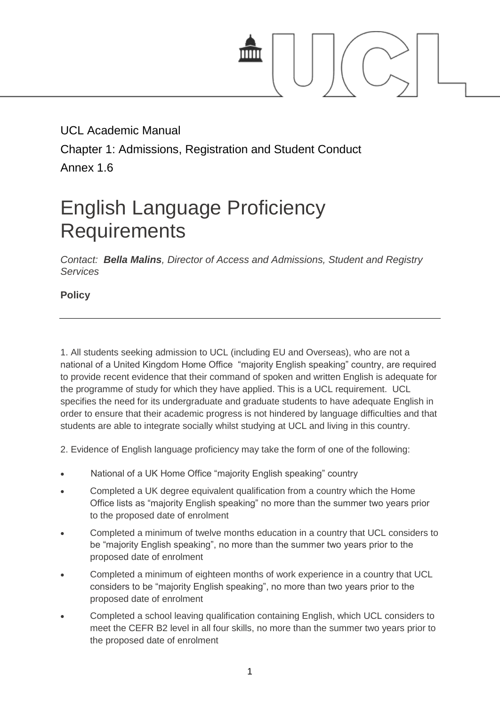

# UCL Academic Manual Chapter 1: Admissions, Registration and Student Conduct Annex 1.6

# English Language Proficiency **Requirements**

*Contact: [Bella Malins](mailto:b.malins@ucl.ac.uk), Director of Access and Admissions, Student and Registry Services*

**Policy**

1. All students seeking admission to UCL (including EU and Overseas), who are not a national of a United Kingdom Home Office "majority English speaking" country, are required to provide recent evidence that their command of spoken and written English is adequate for the programme of study for which they have applied. This is a UCL requirement. UCL specifies the need for its undergraduate and graduate students to have adequate English in order to ensure that their academic progress is not hindered by language difficulties and that students are able to integrate socially whilst studying at UCL and living in this country.

2. Evidence of English language proficiency may take the form of one of the following:

- National of a UK Home Office "majority English speaking" country
- Completed a UK degree equivalent qualification from a country which the Home Office lists as "majority English speaking" no more than the summer two years prior to the proposed date of enrolment
- Completed a minimum of twelve months education in a country that UCL considers to be "majority English speaking", no more than the summer two years prior to the proposed date of enrolment
- Completed a minimum of eighteen months of work experience in a country that UCL considers to be "majority English speaking", no more than two years prior to the proposed date of enrolment
- Completed a school leaving qualification containing English, which UCL considers to meet the CEFR B2 level in all four skills, no more than the summer two years prior to the proposed date of enrolment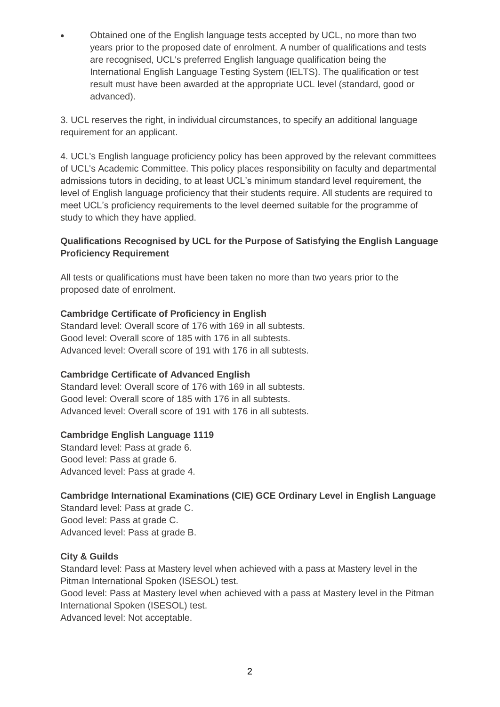Obtained one of the English language tests accepted by UCL, no more than two years prior to the proposed date of enrolment. A number of qualifications and tests are recognised, UCL's preferred English language qualification being the International English Language Testing System (IELTS). The qualification or test result must have been awarded at the appropriate UCL level (standard, good or advanced).

3. UCL reserves the right, in individual circumstances, to specify an additional language requirement for an applicant.

4. UCL's English language proficiency policy has been approved by the relevant committees of UCL's Academic Committee. This policy places responsibility on faculty and departmental admissions tutors in deciding, to at least UCL's minimum standard level requirement, the level of English language proficiency that their students require. All students are required to meet UCL's proficiency requirements to the level deemed suitable for the programme of study to which they have applied.

# **Qualifications Recognised by UCL for the Purpose of Satisfying the English Language Proficiency Requirement**

All tests or qualifications must have been taken no more than two years prior to the proposed date of enrolment.

# **Cambridge Certificate of Proficiency in English**

Standard level: Overall score of 176 with 169 in all subtests. Good level: Overall score of 185 with 176 in all subtests. Advanced level: Overall score of 191 with 176 in all subtests.

# **Cambridge Certificate of Advanced English**

Standard level: Overall score of 176 with 169 in all subtests. Good level: Overall score of 185 with 176 in all subtests. Advanced level: Overall score of 191 with 176 in all subtests.

# **Cambridge English Language 1119**

Standard level: Pass at grade 6. Good level: Pass at grade 6. Advanced level: Pass at grade 4.

# **Cambridge International Examinations (CIE) GCE Ordinary Level in English Language**

Standard level: Pass at grade C. Good level: Pass at grade C. Advanced level: Pass at grade B.

# **City & Guilds**

Standard level: Pass at Mastery level when achieved with a pass at Mastery level in the Pitman International Spoken (ISESOL) test.

Good level: Pass at Mastery level when achieved with a pass at Mastery level in the Pitman International Spoken (ISESOL) test.

Advanced level: Not acceptable.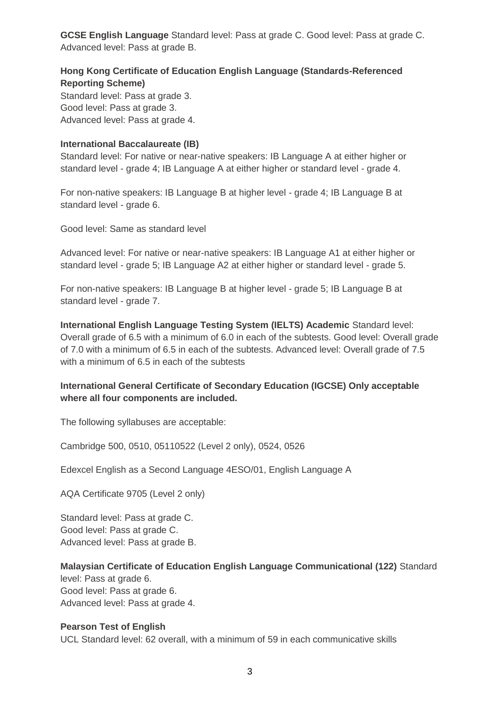**GCSE English Language** Standard level: Pass at grade C. Good level: Pass at grade C. Advanced level: Pass at grade B.

# **Hong Kong Certificate of Education English Language (Standards-Referenced Reporting Scheme)**

Standard level: Pass at grade 3. Good level: Pass at grade 3. Advanced level: Pass at grade 4.

#### **International Baccalaureate (IB)**

Standard level: For native or near-native speakers: IB Language A at either higher or standard level - grade 4; IB Language A at either higher or standard level - grade 4.

For non-native speakers: IB Language B at higher level - grade 4; IB Language B at standard level - grade 6.

Good level: Same as standard level

Advanced level: For native or near-native speakers: IB Language A1 at either higher or standard level - grade 5; IB Language A2 at either higher or standard level - grade 5.

For non-native speakers: IB Language B at higher level - grade 5; IB Language B at standard level - grade 7.

**International English Language Testing System (IELTS) Academic** Standard level: Overall grade of 6.5 with a minimum of 6.0 in each of the subtests. Good level: Overall grade of 7.0 with a minimum of 6.5 in each of the subtests. Advanced level: Overall grade of 7.5 with a minimum of 6.5 in each of the subtests

# **International General Certificate of Secondary Education (IGCSE) Only acceptable where all four components are included.**

The following syllabuses are acceptable:

Cambridge 500, 0510, 05110522 (Level 2 only), 0524, 0526

Edexcel English as a Second Language 4ESO/01, English Language A

AQA Certificate 9705 (Level 2 only)

Standard level: Pass at grade C. Good level: Pass at grade C. Advanced level: Pass at grade B.

**Malaysian Certificate of Education English Language Communicational (122)** Standard level: Pass at grade 6. Good level: Pass at grade 6. Advanced level: Pass at grade 4.

#### **Pearson Test of English**

UCL Standard level: 62 overall, with a minimum of 59 in each communicative skills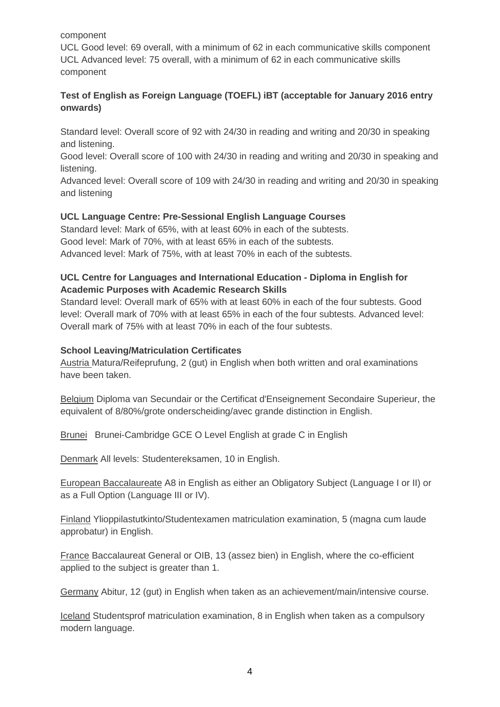#### component

UCL Good level: 69 overall, with a minimum of 62 in each communicative skills component UCL Advanced level: 75 overall, with a minimum of 62 in each communicative skills component

# **Test of English as Foreign Language (TOEFL) iBT (acceptable for January 2016 entry onwards)**

Standard level: Overall score of 92 with 24/30 in reading and writing and 20/30 in speaking and listening.

Good level: Overall score of 100 with 24/30 in reading and writing and 20/30 in speaking and listening.

Advanced level: Overall score of 109 with 24/30 in reading and writing and 20/30 in speaking and listening

# **UCL Language Centre: Pre-Sessional English Language Courses**

Standard level: Mark of 65%, with at least 60% in each of the subtests. Good level: Mark of 70%, with at least 65% in each of the subtests. Advanced level: Mark of 75%, with at least 70% in each of the subtests.

# **UCL Centre for Languages and International Education - Diploma in English for Academic Purposes with Academic Research Skills**

Standard level: Overall mark of 65% with at least 60% in each of the four subtests. Good level: Overall mark of 70% with at least 65% in each of the four subtests. Advanced level: Overall mark of 75% with at least 70% in each of the four subtests.

#### **School Leaving/Matriculation Certificates**

Austria Matura/Reifeprufung, 2 (gut) in English when both written and oral examinations have been taken.

Belgium Diploma van Secundair or the Certificat d'Enseignement Secondaire Superieur, the equivalent of 8/80%/grote onderscheiding/avec grande distinction in English.

Brunei Brunei-Cambridge GCE O Level English at grade C in English

Denmark All levels: Studentereksamen, 10 in English.

European Baccalaureate A8 in English as either an Obligatory Subject (Language I or II) or as a Full Option (Language III or IV).

Finland Ylioppilastutkinto/Studentexamen matriculation examination, 5 (magna cum laude approbatur) in English.

France Baccalaureat General or OIB, 13 (assez bien) in English, where the co-efficient applied to the subject is greater than 1.

Germany Abitur, 12 (gut) in English when taken as an achievement/main/intensive course.

Iceland Studentsprof matriculation examination, 8 in English when taken as a compulsory modern language.